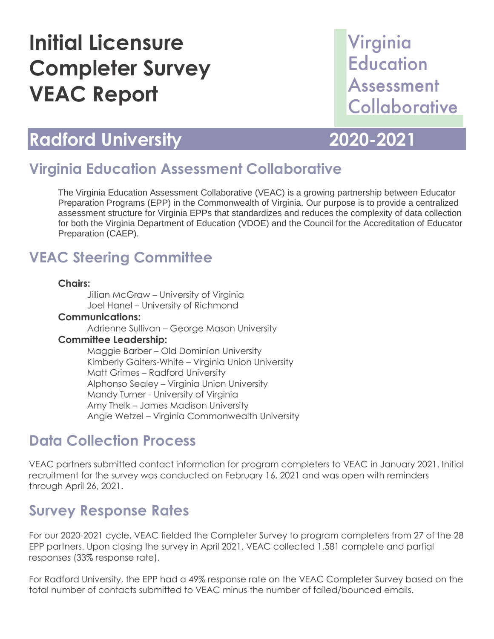# **Initial Licensure Completer Survey VEAC Report**

## Virginia **Education Assessment** Collaborative

### **Radford University 2020-2021**

### **Virginia Education Assessment Collaborative**

The Virginia Education Assessment Collaborative (VEAC) is a growing partnership between Educator Preparation Programs (EPP) in the Commonwealth of Virginia. Our purpose is to provide a centralized assessment structure for Virginia EPPs that standardizes and reduces the complexity of data collection for both the Virginia Department of Education (VDOE) and the Council for the Accreditation of Educator Preparation (CAEP).

### **VEAC Steering Committee**

#### **Chairs:**

Jillian McGraw – University of Virginia Joel Hanel – University of Richmond

#### **Communications:**

Adrienne Sullivan – George Mason University

#### **Committee Leadership:**

Maggie Barber – Old Dominion University Kimberly Gaiters-White – Virginia Union University Matt Grimes – Radford University Alphonso Sealey – Virginia Union University Mandy Turner - University of Virginia Amy Thelk – James Madison University Angie Wetzel – Virginia Commonwealth University

### **Data Collection Process**

VEAC partners submitted contact information for program completers to VEAC in January 2021. Initial recruitment for the survey was conducted on February 16, 2021 and was open with reminders through April 26, 2021.

### **Survey Response Rates**

For our 2020-2021 cycle, VEAC fielded the Completer Survey to program completers from 27 of the 28 EPP partners. Upon closing the survey in April 2021, VEAC collected 1,581 complete and partial responses (33% response rate).

For Radford University, the EPP had a 49% response rate on the VEAC Completer Survey based on the total number of contacts submitted to VEAC minus the number of failed/bounced emails.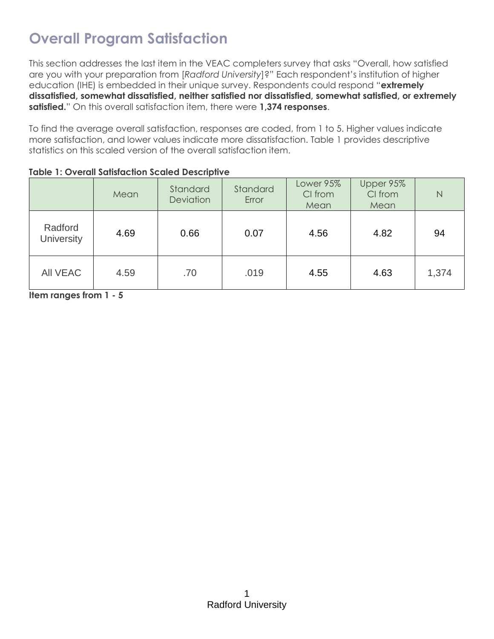### **Overall Program Satisfaction**

This section addresses the last item in the VEAC completers survey that asks "Overall, how satisfied are you with your preparation from [*Radford University*]?" Each respondent's institution of higher education (IHE) is embedded in their unique survey. Respondents could respond "**extremely dissatisfied, somewhat dissatisfied, neither satisfied nor dissatisfied, somewhat satisfied, or extremely satisfied.**" On this overall satisfaction item, there were **1,374 responses**.

To find the average overall satisfaction, responses are coded, from 1 to 5. Higher values indicate more satisfaction, and lower values indicate more dissatisfaction. Table 1 provides descriptive statistics on this scaled version of the overall satisfaction item.

|                              | Mean | Standard<br><b>Deviation</b> | Standard<br>Error | Lower 95%<br>CI from<br>Mean | Upper 95%<br>CI from<br>Mean | N     |
|------------------------------|------|------------------------------|-------------------|------------------------------|------------------------------|-------|
| Radford<br><b>University</b> | 4.69 | 0.66                         | 0.07              | 4.56                         | 4.82                         | 94    |
| <b>AII VEAC</b>              | 4.59 | .70                          | .019              | 4.55                         | 4.63                         | 1,374 |

**Item ranges from 1 - 5**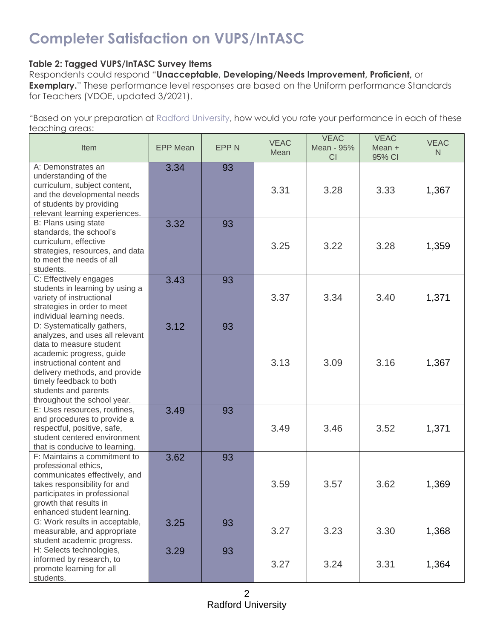### **Completer Satisfaction on VUPS/InTASC**

### **Table 2: Tagged VUPS/InTASC Survey Items**

Respondents could respond "**Unacceptable, Developing/Needs Improvement, Proficient,** or **Exemplary.**" These performance level responses are based on the Uniform performance Standards for Teachers (VDOE, updated 3/2021).

"Based on your preparation at Radford University, how would you rate your performance in each of these teaching areas:

| Item                                                                                                                                                                                                                                                                 | <b>EPP Mean</b> | <b>EPPN</b> | <b>VEAC</b><br>Mean | <b>VEAC</b><br>Mean - 95%<br>CI | <b>VEAC</b><br>Mean +<br>95% CI | <b>VEAC</b><br>N |
|----------------------------------------------------------------------------------------------------------------------------------------------------------------------------------------------------------------------------------------------------------------------|-----------------|-------------|---------------------|---------------------------------|---------------------------------|------------------|
| A: Demonstrates an<br>understanding of the<br>curriculum, subject content,<br>and the developmental needs<br>of students by providing<br>relevant learning experiences.                                                                                              | 3.34            | 93          | 3.31                | 3.28                            | 3.33                            | 1,367            |
| B: Plans using state<br>standards, the school's<br>curriculum, effective<br>strategies, resources, and data<br>to meet the needs of all<br>students.                                                                                                                 | 3.32            | 93          | 3.25                | 3.22                            | 3.28                            | 1,359            |
| C: Effectively engages<br>students in learning by using a<br>variety of instructional<br>strategies in order to meet<br>individual learning needs.                                                                                                                   | 3.43            | 93          | 3.37                | 3.34                            | 3.40                            | 1,371            |
| D: Systematically gathers,<br>analyzes, and uses all relevant<br>data to measure student<br>academic progress, guide<br>instructional content and<br>delivery methods, and provide<br>timely feedback to both<br>students and parents<br>throughout the school year. | 3.12            | 93          | 3.13                | 3.09                            | 3.16                            | 1,367            |
| E: Uses resources, routines,<br>and procedures to provide a<br>respectful, positive, safe,<br>student centered environment<br>that is conducive to learning.                                                                                                         | 3.49            | 93          | 3.49                | 3.46                            | 3.52                            | 1,371            |
| F: Maintains a commitment to<br>professional ethics,<br>communicates effectively, and<br>takes responsibility for and<br>participates in professional<br>growth that results in<br>enhanced student learning.                                                        | 3.62            | 93          | 3.59                | 3.57                            | 3.62                            | 1,369            |
| G: Work results in acceptable,<br>measurable, and appropriate<br>student academic progress.                                                                                                                                                                          | 3.25            | 93          | 3.27                | 3.23                            | 3.30                            | 1,368            |
| H: Selects technologies,<br>informed by research, to<br>promote learning for all<br>students.                                                                                                                                                                        | 3.29            | 93          | 3.27                | 3.24                            | 3.31                            | 1,364            |